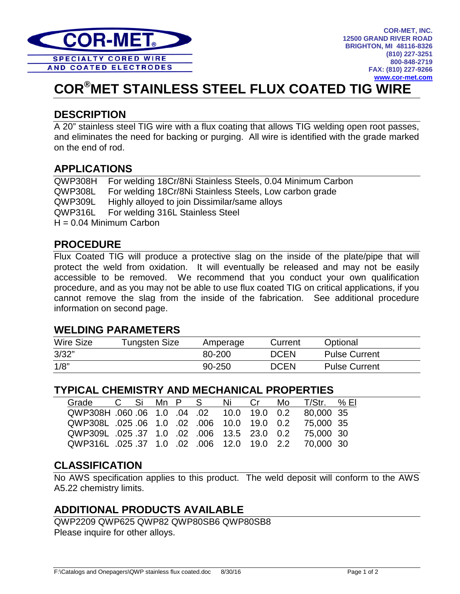

# **COR®MET STAINLESS STEEL FLUX COATED TIG WIRE**

## **DESCRIPTION**

A 20" stainless steel TIG wire with a flux coating that allows TIG welding open root passes, and eliminates the need for backing or purging. All wire is identified with the grade marked on the end of rod.

## **APPLICATIONS**

QWP308H For welding 18Cr/8Ni Stainless Steels, 0.04 Minimum Carbon QWP308L For welding 18Cr/8Ni Stainless Steels, Low carbon grade QWP309L Highly alloyed to join Dissimilar/same alloys QWP316L For welding 316L Stainless Steel  $H = 0.04$  Minimum Carbon

### **PROCEDURE**

Flux Coated TIG will produce a protective slag on the inside of the plate/pipe that will protect the weld from oxidation. It will eventually be released and may not be easily accessible to be removed. We recommend that you conduct your own qualification procedure, and as you may not be able to use flux coated TIG on critical applications, if you cannot remove the slag from the inside of the fabrication. See additional procedure information on second page.

#### **WELDING PARAMETERS**

| <b>Wire Size</b> | <b>Tungsten Size</b> | Amperage | Current     | Optional             |
|------------------|----------------------|----------|-------------|----------------------|
| 3/32"            |                      | 80-200   | <b>DCEN</b> | <b>Pulse Current</b> |
| 1/8"             |                      | 90-250   | <b>DCEN</b> | <b>Pulse Current</b> |

#### **TYPICAL CHEMISTRY AND MECHANICAL PROPERTIES**

| Grade                                                             |  |  | C Si Mn P S | Ni Cr | Mo $T/S$ tr. % El |  |
|-------------------------------------------------------------------|--|--|-------------|-------|-------------------|--|
| QWP308H 060 06 1.0 04 02 10.0 19.0 0.2 80,000 35                  |  |  |             |       |                   |  |
| QWP308L .025 .06  1.0    .02   .006  10.0  19.0   0.2  75,000  35 |  |  |             |       |                   |  |
| QWP309L .025 .37 1.0 .02 .006 13.5 23.0 0.2 75,000 30             |  |  |             |       |                   |  |
| QWP316L 025 37 1.0 02 006 12.0 19.0 2.2 70,000 30                 |  |  |             |       |                   |  |

## **CLASSIFICATION**

No AWS specification applies to this product. The weld deposit will conform to the AWS A5.22 chemistry limits.

## **ADDITIONAL PRODUCTS AVAILABLE**

QWP2209 QWP625 QWP82 QWP80SB6 QWP80SB8 Please inquire for other alloys.